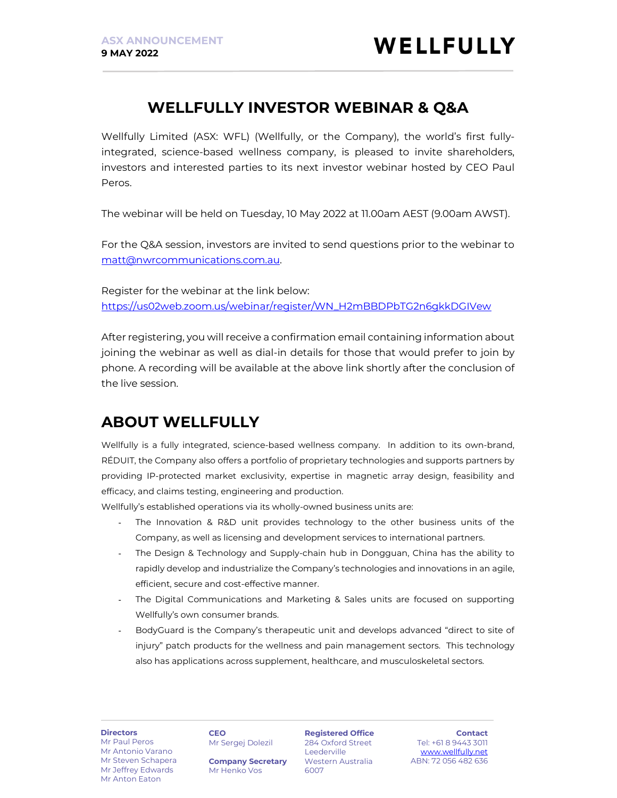## WELLFULLY INVESTOR WEBINAR & Q&A

Wellfully Limited (ASX: WFL) (Wellfully, or the Company), the world's first fullyintegrated, science-based wellness company, is pleased to invite shareholders, investors and interested parties to its next investor webinar hosted by CEO Paul Peros.

The webinar will be held on Tuesday, 10 May 2022 at 11.00am AEST (9.00am AWST).

For the Q&A session, investors are invited to send questions prior to the webinar to matt@nwrcommunications.com.au.

Register for the webinar at the link below: https://us02web.zoom.us/webinar/register/WN\_H2mBBDPbTG2n6gkkDGIVew

After registering, you will receive a confirmation email containing information about joining the webinar as well as dial-in details for those that would prefer to join by phone. A recording will be available at the above link shortly after the conclusion of the live session.

# ABOUT WELLFULLY

Wellfully is a fully integrated, science-based wellness company. In addition to its own-brand, RÉDUIT, the Company also offers a portfolio of proprietary technologies and supports partners by providing IP-protected market exclusivity, expertise in magnetic array design, feasibility and efficacy, and claims testing, engineering and production.

Wellfully's established operations via its wholly-owned business units are:

- The Innovation & R&D unit provides technology to the other business units of the Company, as well as licensing and development services to international partners.
- The Design & Technology and Supply-chain hub in Dongguan, China has the ability to rapidly develop and industrialize the Company's technologies and innovations in an agile, efficient, secure and cost-effective manner.
- The Digital Communications and Marketing & Sales units are focused on supporting Wellfully's own consumer brands.
- BodyGuard is the Company's therapeutic unit and develops advanced "direct to site of injury" patch products for the wellness and pain management sectors. This technology also has applications across supplement, healthcare, and musculoskeletal sectors.

#### **Directors** Mr Paul Peros

Mr Antonio Varano Mr Steven Schapera Mr Jeffrey Edwards Mr Anton Eaton

**CEO** Mr Sergej Dolezil

Mr Henko Vos

284 Oxford Street Leederville Western Australia 6007 Company Secretary

Registered Office

Contact Tel: +61 8 9443 3011 www.wellfully.net ABN: 72 056 482 636